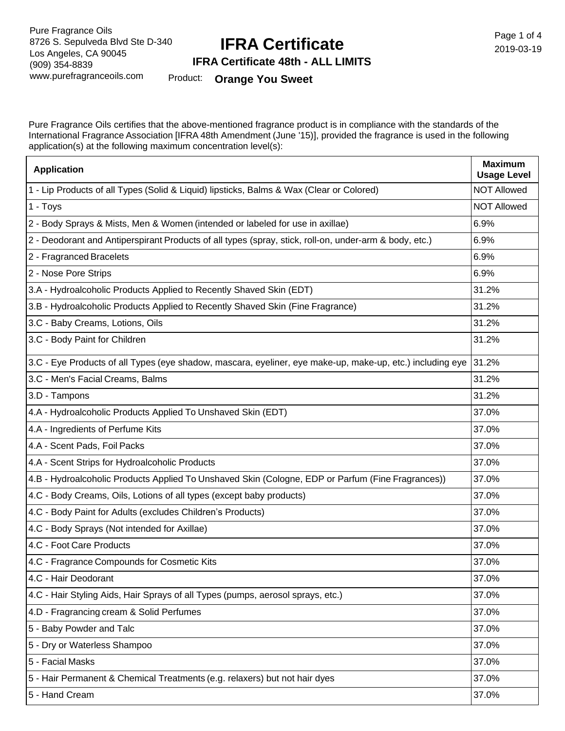# **IFRA Certificate**

Page 1 of 4 2019-03-19

#### **IFRA Certificate 48th - ALL LIMITS**

Product: **Orange You Sweet**

Pure Fragrance Oils certifies that the above-mentioned fragrance product is in compliance with the standards of the International Fragrance Association [IFRA 48th Amendment (June '15)], provided the fragrance is used in the following application(s) at the following maximum concentration level(s):

| <b>Application</b>                                                                                        | <b>Maximum</b><br><b>Usage Level</b> |
|-----------------------------------------------------------------------------------------------------------|--------------------------------------|
| 1 - Lip Products of all Types (Solid & Liquid) lipsticks, Balms & Wax (Clear or Colored)                  | <b>NOT Allowed</b>                   |
| 1 - Toys                                                                                                  | <b>NOT Allowed</b>                   |
| 2 - Body Sprays & Mists, Men & Women (intended or labeled for use in axillae)                             | 6.9%                                 |
| 2 - Deodorant and Antiperspirant Products of all types (spray, stick, roll-on, under-arm & body, etc.)    | 6.9%                                 |
| 2 - Fragranced Bracelets                                                                                  | 6.9%                                 |
| 2 - Nose Pore Strips                                                                                      | 6.9%                                 |
| 3.A - Hydroalcoholic Products Applied to Recently Shaved Skin (EDT)                                       | 31.2%                                |
| 3.B - Hydroalcoholic Products Applied to Recently Shaved Skin (Fine Fragrance)                            | 31.2%                                |
| 3.C - Baby Creams, Lotions, Oils                                                                          | 31.2%                                |
| 3.C - Body Paint for Children                                                                             | 31.2%                                |
| 3.C - Eye Products of all Types (eye shadow, mascara, eyeliner, eye make-up, make-up, etc.) including eye | 31.2%                                |
| 3.C - Men's Facial Creams, Balms                                                                          | 31.2%                                |
| 3.D - Tampons                                                                                             | 31.2%                                |
| 4.A - Hydroalcoholic Products Applied To Unshaved Skin (EDT)                                              | 37.0%                                |
| 4.A - Ingredients of Perfume Kits                                                                         | 37.0%                                |
| 4.A - Scent Pads, Foil Packs                                                                              | 37.0%                                |
| 4.A - Scent Strips for Hydroalcoholic Products                                                            | 37.0%                                |
| 4.B - Hydroalcoholic Products Applied To Unshaved Skin (Cologne, EDP or Parfum (Fine Fragrances))         | 37.0%                                |
| 4.C - Body Creams, Oils, Lotions of all types (except baby products)                                      | 37.0%                                |
| 4.C - Body Paint for Adults (excludes Children's Products)                                                | 37.0%                                |
| 4.C - Body Sprays (Not intended for Axillae)                                                              | 37.0%                                |
| 4.C - Foot Care Products                                                                                  | 37.0%                                |
| 4.C - Fragrance Compounds for Cosmetic Kits                                                               | 37.0%                                |
| 4.C - Hair Deodorant                                                                                      | 37.0%                                |
| 4.C - Hair Styling Aids, Hair Sprays of all Types (pumps, aerosol sprays, etc.)                           | 37.0%                                |
| 4.D - Fragrancing cream & Solid Perfumes                                                                  | 37.0%                                |
| 5 - Baby Powder and Talc                                                                                  | 37.0%                                |
| 5 - Dry or Waterless Shampoo                                                                              | 37.0%                                |
| 5 - Facial Masks                                                                                          | 37.0%                                |
| 5 - Hair Permanent & Chemical Treatments (e.g. relaxers) but not hair dyes                                | 37.0%                                |
| 5 - Hand Cream                                                                                            | 37.0%                                |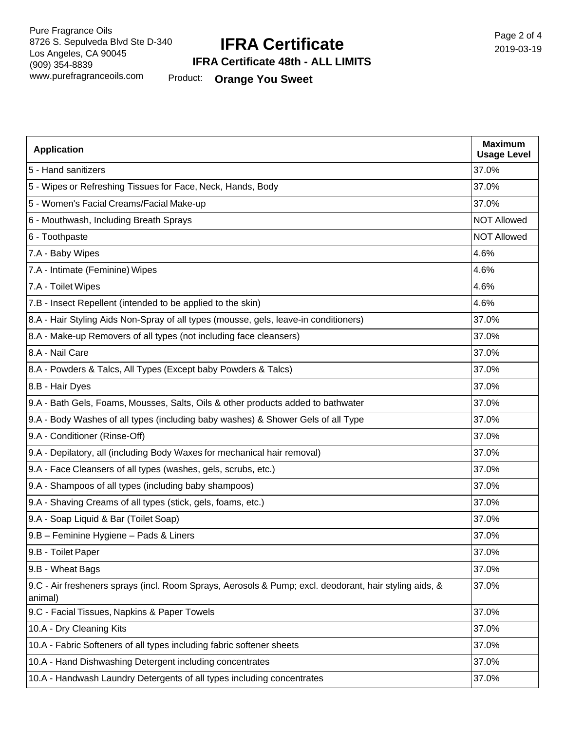## **IFRA Certificate**

Page 2 of 4 2019-03-19

#### **IFRA Certificate 48th - ALL LIMITS**

Product: **Orange You Sweet**

| <b>Application</b>                                                                                                | <b>Maximum</b><br><b>Usage Level</b> |
|-------------------------------------------------------------------------------------------------------------------|--------------------------------------|
| 5 - Hand sanitizers                                                                                               | 37.0%                                |
| 5 - Wipes or Refreshing Tissues for Face, Neck, Hands, Body                                                       | 37.0%                                |
| 5 - Women's Facial Creams/Facial Make-up                                                                          | 37.0%                                |
| 6 - Mouthwash, Including Breath Sprays                                                                            | <b>NOT Allowed</b>                   |
| 6 - Toothpaste                                                                                                    | <b>NOT Allowed</b>                   |
| 7.A - Baby Wipes                                                                                                  | 4.6%                                 |
| 7.A - Intimate (Feminine) Wipes                                                                                   | 4.6%                                 |
| 7.A - Toilet Wipes                                                                                                | 4.6%                                 |
| 7.B - Insect Repellent (intended to be applied to the skin)                                                       | 4.6%                                 |
| 8.A - Hair Styling Aids Non-Spray of all types (mousse, gels, leave-in conditioners)                              | 37.0%                                |
| 8.A - Make-up Removers of all types (not including face cleansers)                                                | 37.0%                                |
| 8.A - Nail Care                                                                                                   | 37.0%                                |
| 8.A - Powders & Talcs, All Types (Except baby Powders & Talcs)                                                    | 37.0%                                |
| 8.B - Hair Dyes                                                                                                   | 37.0%                                |
| 9.A - Bath Gels, Foams, Mousses, Salts, Oils & other products added to bathwater                                  | 37.0%                                |
| 9.A - Body Washes of all types (including baby washes) & Shower Gels of all Type                                  | 37.0%                                |
| 9.A - Conditioner (Rinse-Off)                                                                                     | 37.0%                                |
| 9.A - Depilatory, all (including Body Waxes for mechanical hair removal)                                          | 37.0%                                |
| 9.A - Face Cleansers of all types (washes, gels, scrubs, etc.)                                                    | 37.0%                                |
| 9.A - Shampoos of all types (including baby shampoos)                                                             | 37.0%                                |
| 9.A - Shaving Creams of all types (stick, gels, foams, etc.)                                                      | 37.0%                                |
| 9.A - Soap Liquid & Bar (Toilet Soap)                                                                             | 37.0%                                |
| 9.B - Feminine Hygiene - Pads & Liners                                                                            | 37.0%                                |
| 9.B - Toilet Paper                                                                                                | 37.0%                                |
| 9.B - Wheat Bags                                                                                                  | 37.0%                                |
| 9.C - Air fresheners sprays (incl. Room Sprays, Aerosols & Pump; excl. deodorant, hair styling aids, &<br>animal) | 37.0%                                |
| 9.C - Facial Tissues, Napkins & Paper Towels                                                                      | 37.0%                                |
| 10.A - Dry Cleaning Kits                                                                                          | 37.0%                                |
| 10.A - Fabric Softeners of all types including fabric softener sheets                                             | 37.0%                                |
| 10.A - Hand Dishwashing Detergent including concentrates                                                          | 37.0%                                |
| 10.A - Handwash Laundry Detergents of all types including concentrates                                            | 37.0%                                |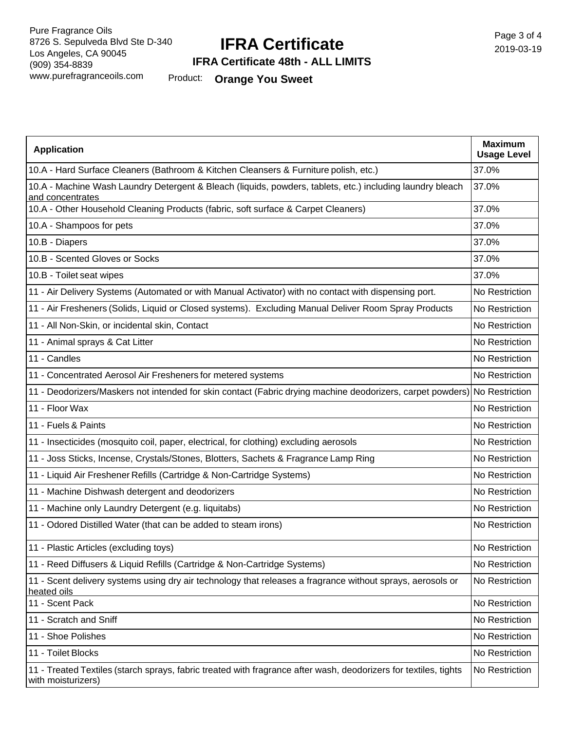# **IFRA Certificate**

Page 3 of 4 2019-03-19

### **IFRA Certificate 48th - ALL LIMITS**

Product: **Orange You Sweet**

| <b>Application</b>                                                                                                                     | <b>Maximum</b><br><b>Usage Level</b> |
|----------------------------------------------------------------------------------------------------------------------------------------|--------------------------------------|
| 10.A - Hard Surface Cleaners (Bathroom & Kitchen Cleansers & Furniture polish, etc.)                                                   | 37.0%                                |
| 10.A - Machine Wash Laundry Detergent & Bleach (liquids, powders, tablets, etc.) including laundry bleach<br>and concentrates          | 37.0%                                |
| 10.A - Other Household Cleaning Products (fabric, soft surface & Carpet Cleaners)                                                      | 37.0%                                |
| 10.A - Shampoos for pets                                                                                                               | 37.0%                                |
| 10.B - Diapers                                                                                                                         | 37.0%                                |
| 10.B - Scented Gloves or Socks                                                                                                         | 37.0%                                |
| 10.B - Toilet seat wipes                                                                                                               | 37.0%                                |
| 11 - Air Delivery Systems (Automated or with Manual Activator) with no contact with dispensing port.                                   | No Restriction                       |
| 11 - Air Fresheners (Solids, Liquid or Closed systems). Excluding Manual Deliver Room Spray Products                                   | No Restriction                       |
| 11 - All Non-Skin, or incidental skin, Contact                                                                                         | No Restriction                       |
| 11 - Animal sprays & Cat Litter                                                                                                        | No Restriction                       |
| 11 - Candles                                                                                                                           | No Restriction                       |
| 11 - Concentrated Aerosol Air Fresheners for metered systems                                                                           | No Restriction                       |
| 11 - Deodorizers/Maskers not intended for skin contact (Fabric drying machine deodorizers, carpet powders) No Restriction              |                                      |
| 11 - Floor Wax                                                                                                                         | No Restriction                       |
| 11 - Fuels & Paints                                                                                                                    | No Restriction                       |
| 11 - Insecticides (mosquito coil, paper, electrical, for clothing) excluding aerosols                                                  | No Restriction                       |
| 11 - Joss Sticks, Incense, Crystals/Stones, Blotters, Sachets & Fragrance Lamp Ring                                                    | No Restriction                       |
| 11 - Liquid Air Freshener Refills (Cartridge & Non-Cartridge Systems)                                                                  | No Restriction                       |
| 11 - Machine Dishwash detergent and deodorizers                                                                                        | No Restriction                       |
| 11 - Machine only Laundry Detergent (e.g. liquitabs)                                                                                   | No Restriction                       |
| 11 - Odored Distilled Water (that can be added to steam irons)                                                                         | No Restriction                       |
| 11 - Plastic Articles (excluding toys)                                                                                                 | No Restriction                       |
| 11 - Reed Diffusers & Liquid Refills (Cartridge & Non-Cartridge Systems)                                                               | No Restriction                       |
| 11 - Scent delivery systems using dry air technology that releases a fragrance without sprays, aerosols or<br>heated oils              | No Restriction                       |
| 11 - Scent Pack                                                                                                                        | No Restriction                       |
| 11 - Scratch and Sniff                                                                                                                 | No Restriction                       |
| 11 - Shoe Polishes                                                                                                                     | No Restriction                       |
| 11 - Toilet Blocks                                                                                                                     | No Restriction                       |
| 11 - Treated Textiles (starch sprays, fabric treated with fragrance after wash, deodorizers for textiles, tights<br>with moisturizers) | No Restriction                       |